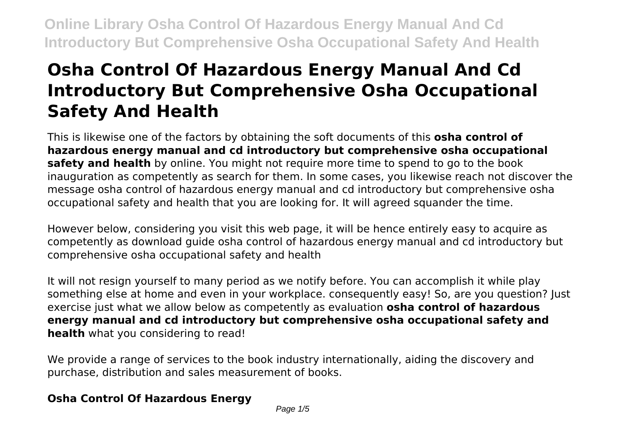# **Osha Control Of Hazardous Energy Manual And Cd Introductory But Comprehensive Osha Occupational Safety And Health**

This is likewise one of the factors by obtaining the soft documents of this **osha control of hazardous energy manual and cd introductory but comprehensive osha occupational safety and health** by online. You might not require more time to spend to go to the book inauguration as competently as search for them. In some cases, you likewise reach not discover the message osha control of hazardous energy manual and cd introductory but comprehensive osha occupational safety and health that you are looking for. It will agreed squander the time.

However below, considering you visit this web page, it will be hence entirely easy to acquire as competently as download guide osha control of hazardous energy manual and cd introductory but comprehensive osha occupational safety and health

It will not resign yourself to many period as we notify before. You can accomplish it while play something else at home and even in your workplace. consequently easy! So, are you question? Just exercise just what we allow below as competently as evaluation **osha control of hazardous energy manual and cd introductory but comprehensive osha occupational safety and health** what you considering to read!

We provide a range of services to the book industry internationally, aiding the discovery and purchase, distribution and sales measurement of books.

### **Osha Control Of Hazardous Energy**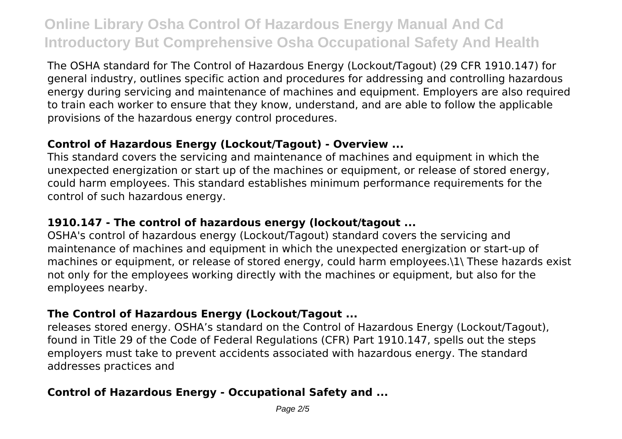The OSHA standard for The Control of Hazardous Energy (Lockout/Tagout) (29 CFR 1910.147) for general industry, outlines specific action and procedures for addressing and controlling hazardous energy during servicing and maintenance of machines and equipment. Employers are also required to train each worker to ensure that they know, understand, and are able to follow the applicable provisions of the hazardous energy control procedures.

#### **Control of Hazardous Energy (Lockout/Tagout) - Overview ...**

This standard covers the servicing and maintenance of machines and equipment in which the unexpected energization or start up of the machines or equipment, or release of stored energy, could harm employees. This standard establishes minimum performance requirements for the control of such hazardous energy.

### **1910.147 - The control of hazardous energy (lockout/tagout ...**

OSHA's control of hazardous energy (Lockout/Tagout) standard covers the servicing and maintenance of machines and equipment in which the unexpected energization or start-up of machines or equipment, or release of stored energy, could harm employees.\1\ These hazards exist not only for the employees working directly with the machines or equipment, but also for the employees nearby.

### **The Control of Hazardous Energy (Lockout/Tagout ...**

releases stored energy. OSHA's standard on the Control of Hazardous Energy (Lockout/Tagout), found in Title 29 of the Code of Federal Regulations (CFR) Part 1910.147, spells out the steps employers must take to prevent accidents associated with hazardous energy. The standard addresses practices and

#### **Control of Hazardous Energy - Occupational Safety and ...**

Page 2/5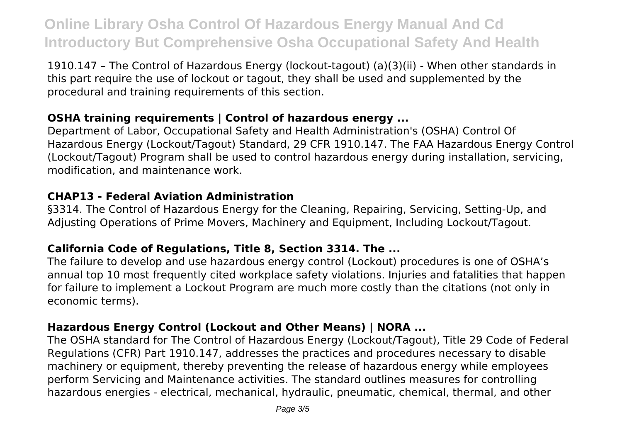1910.147 – The Control of Hazardous Energy (lockout-tagout) (a)(3)(ii) - When other standards in this part require the use of lockout or tagout, they shall be used and supplemented by the procedural and training requirements of this section.

#### **OSHA training requirements | Control of hazardous energy ...**

Department of Labor, Occupational Safety and Health Administration's (OSHA) Control Of Hazardous Energy (Lockout/Tagout) Standard, 29 CFR 1910.147. The FAA Hazardous Energy Control (Lockout/Tagout) Program shall be used to control hazardous energy during installation, servicing, modification, and maintenance work.

#### **CHAP13 - Federal Aviation Administration**

§3314. The Control of Hazardous Energy for the Cleaning, Repairing, Servicing, Setting-Up, and Adjusting Operations of Prime Movers, Machinery and Equipment, Including Lockout/Tagout.

#### **California Code of Regulations, Title 8, Section 3314. The ...**

The failure to develop and use hazardous energy control (Lockout) procedures is one of OSHA's annual top 10 most frequently cited workplace safety violations. Injuries and fatalities that happen for failure to implement a Lockout Program are much more costly than the citations (not only in economic terms).

### **Hazardous Energy Control (Lockout and Other Means) | NORA ...**

The OSHA standard for The Control of Hazardous Energy (Lockout/Tagout), Title 29 Code of Federal Regulations (CFR) Part 1910.147, addresses the practices and procedures necessary to disable machinery or equipment, thereby preventing the release of hazardous energy while employees perform Servicing and Maintenance activities. The standard outlines measures for controlling hazardous energies - electrical, mechanical, hydraulic, pneumatic, chemical, thermal, and other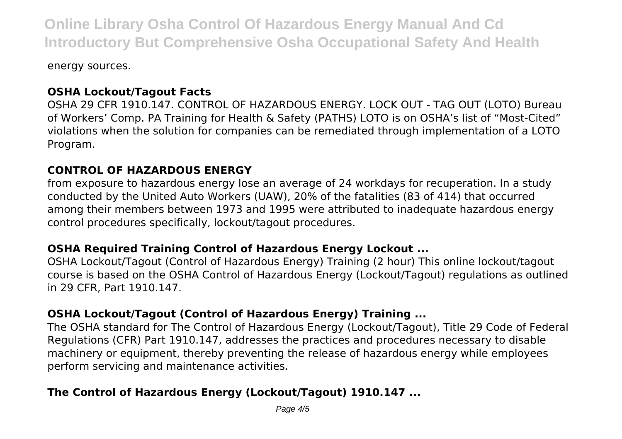energy sources.

#### **OSHA Lockout/Tagout Facts**

OSHA 29 CFR 1910.147. CONTROL OF HAZARDOUS ENERGY. LOCK OUT - TAG OUT (LOTO) Bureau of Workers' Comp. PA Training for Health & Safety (PATHS) LOTO is on OSHA's list of "Most-Cited" violations when the solution for companies can be remediated through implementation of a LOTO Program.

#### **CONTROL OF HAZARDOUS ENERGY**

from exposure to hazardous energy lose an average of 24 workdays for recuperation. In a study conducted by the United Auto Workers (UAW), 20% of the fatalities (83 of 414) that occurred among their members between 1973 and 1995 were attributed to inadequate hazardous energy control procedures specifically, lockout/tagout procedures.

#### **OSHA Required Training Control of Hazardous Energy Lockout ...**

OSHA Lockout/Tagout (Control of Hazardous Energy) Training (2 hour) This online lockout/tagout course is based on the OSHA Control of Hazardous Energy (Lockout/Tagout) regulations as outlined in 29 CFR, Part 1910.147.

#### **OSHA Lockout/Tagout (Control of Hazardous Energy) Training ...**

The OSHA standard for The Control of Hazardous Energy (Lockout/Tagout), Title 29 Code of Federal Regulations (CFR) Part 1910.147, addresses the practices and procedures necessary to disable machinery or equipment, thereby preventing the release of hazardous energy while employees perform servicing and maintenance activities.

### **The Control of Hazardous Energy (Lockout/Tagout) 1910.147 ...**